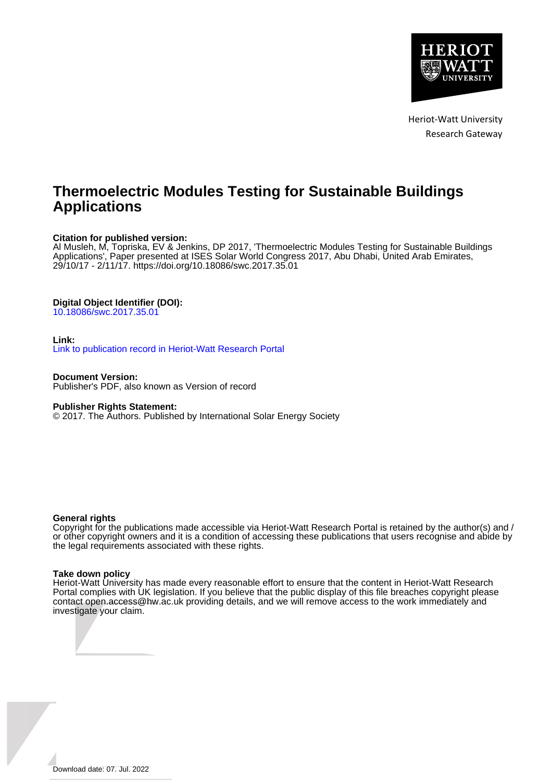

Heriot-Watt University Research Gateway

# **Thermoelectric Modules Testing for Sustainable Buildings Applications**

### **Citation for published version:**

Al Musleh, M, Topriska, EV & Jenkins, DP 2017, 'Thermoelectric Modules Testing for Sustainable Buildings Applications', Paper presented at ISES Solar World Congress 2017, Abu Dhabi, United Arab Emirates, 29/10/17 - 2/11/17. <https://doi.org/10.18086/swc.2017.35.01>

## **Digital Object Identifier (DOI):**

[10.18086/swc.2017.35.01](https://doi.org/10.18086/swc.2017.35.01)

#### **Link:**

[Link to publication record in Heriot-Watt Research Portal](https://researchportal.hw.ac.uk/en/publications/6877d2c6-c8b5-45a7-b371-4683c16a9622)

**Document Version:** Publisher's PDF, also known as Version of record

#### **Publisher Rights Statement:**

© 2017. The Authors. Published by International Solar Energy Society

#### **General rights**

Copyright for the publications made accessible via Heriot-Watt Research Portal is retained by the author(s) and / or other copyright owners and it is a condition of accessing these publications that users recognise and abide by the legal requirements associated with these rights.

#### **Take down policy**

Heriot-Watt University has made every reasonable effort to ensure that the content in Heriot-Watt Research Portal complies with UK legislation. If you believe that the public display of this file breaches copyright please contact open.access@hw.ac.uk providing details, and we will remove access to the work immediately and investigate your claim.

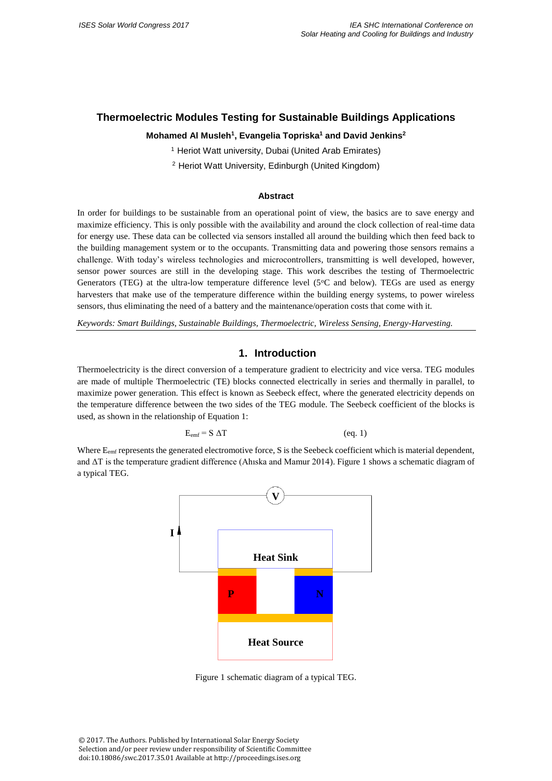# **Thermoelectric Modules Testing for Sustainable Buildings Applications**

## **Mohamed Al Musleh<sup>1</sup> , Evangelia Topriska<sup>1</sup> and David Jenkins<sup>2</sup>**

<sup>1</sup> Heriot Watt university, Dubai (United Arab Emirates)

<sup>2</sup> Heriot Watt University, Edinburgh (United Kingdom)

#### **Abstract**

In order for buildings to be sustainable from an operational point of view, the basics are to save energy and maximize efficiency. This is only possible with the availability and around the clock collection of real-time data for energy use. These data can be collected via sensors installed all around the building which then feed back to the building management system or to the occupants. Transmitting data and powering those sensors remains a challenge. With today's wireless technologies and microcontrollers, transmitting is well developed, however, sensor power sources are still in the developing stage. This work describes the testing of Thermoelectric Generators (TEG) at the ultra-low temperature difference level (5°C and below). TEGs are used as energy harvesters that make use of the temperature difference within the building energy systems, to power wireless sensors, thus eliminating the need of a battery and the maintenance/operation costs that come with it.

*Keywords: Smart Buildings, Sustainable Buildings, Thermoelectric, Wireless Sensing, Energy-Harvesting.*

# **1. Introduction**

Thermoelectricity is the direct conversion of a temperature gradient to electricity and vice versa. TEG modules are made of multiple Thermoelectric (TE) blocks connected electrically in series and thermally in parallel, to maximize power generation. This effect is known as Seebeck effect, where the generated electricity depends on the temperature difference between the two sides of the TEG module. The Seebeck coefficient of the blocks is used, as shown in the relationship of Equation 1:

$$
E_{emf} = S \Delta T
$$

 $(eq. 1)$ 

Where  $E_{emf}$  represents the generated electromotive force, S is the Seebeck coefficient which is material dependent, and ΔT is the temperature gradient difference (Ahıska and Mamur 2014). Figure 1 shows a schematic diagram of a typical TEG.



Figure 1 schematic diagram of a typical TEG.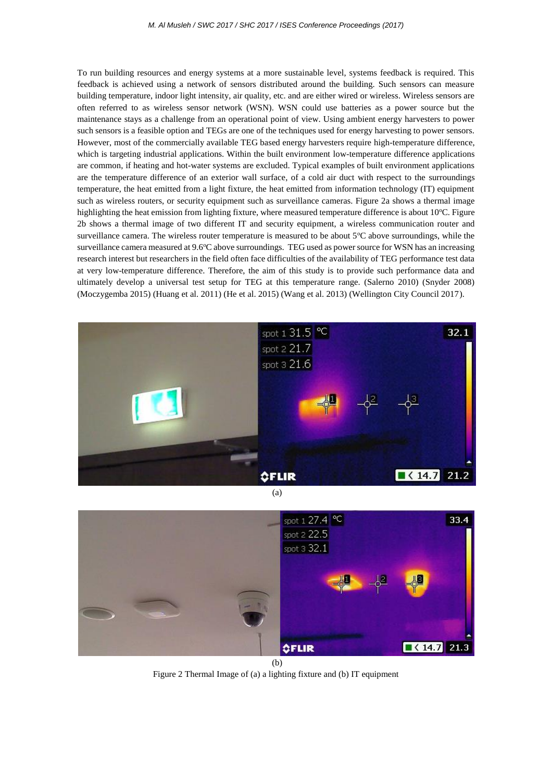To run building resources and energy systems at a more sustainable level, systems feedback is required. This feedback is achieved using a network of sensors distributed around the building. Such sensors can measure building temperature, indoor light intensity, air quality, etc. and are either wired or wireless. Wireless sensors are often referred to as wireless sensor network (WSN). WSN could use batteries as a power source but the maintenance stays as a challenge from an operational point of view. Using ambient energy harvesters to power such sensors is a feasible option and TEGs are one of the techniques used for energy harvesting to power sensors. However, most of the commercially available TEG based energy harvesters require high-temperature difference, which is targeting industrial applications. Within the built environment low-temperature difference applications are common, if heating and hot-water systems are excluded. Typical examples of built environment applications are the temperature difference of an exterior wall surface, of a cold air duct with respect to the surroundings temperature, the heat emitted from a light fixture, the heat emitted from information technology (IT) equipment such as wireless routers, or security equipment such as surveillance cameras. Figure 2a shows a thermal image highlighting the heat emission from lighting fixture, where measured temperature difference is about  $10^{\circ}$ C. Figure 2b shows a thermal image of two different IT and security equipment, a wireless communication router and surveillance camera. The wireless router temperature is measured to be about  $5^{\circ}$ C above surroundings, while the surveillance camera measured at 9.6°C above surroundings. TEG used as power source for WSN has an increasing research interest but researchers in the field often face difficulties of the availability of TEG performance test data at very low-temperature difference. Therefore, the aim of this study is to provide such performance data and ultimately develop a universal test setup for TEG at this temperature range. (Salerno 2010) (Snyder 2008) (Moczygemba 2015) (Huang et al. 2011) (He et al. 2015) (Wang et al. 2013) (Wellington City Council 2017).





(b)

Figure 2 Thermal Image of (a) a lighting fixture and (b) IT equipment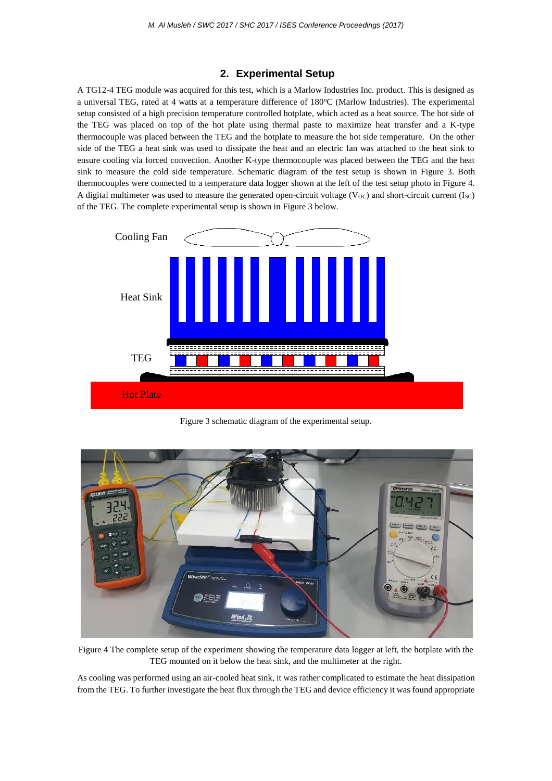## **2. Experimental Setup**

A TG12-4 TEG module was acquired for this test, which is a Marlow Industries Inc. product. This is designed as a universal TEG, rated at 4 watts at a temperature difference of 180°C (Marlow Industries). The experimental setup consisted of a high precision temperature controlled hotplate, which acted as a heat source. The hot side of the TEG was placed on top of the hot plate using thermal paste to maximize heat transfer and a K-type thermocouple was placed between the TEG and the hotplate to measure the hot side temperature. On the other side of the TEG a heat sink was used to dissipate the heat and an electric fan was attached to the heat sink to ensure cooling via forced convection. Another K-type thermocouple was placed between the TEG and the heat sink to measure the cold side temperature. Schematic diagram of the test setup is shown in Figure 3. Both thermocouples were connected to a temperature data logger shown at the left of the test setup photo in Figure 4. A digital multimeter was used to measure the generated open-circuit voltage ( $V_{\text{OC}}$ ) and short-circuit current (I<sub>SC</sub>) of the TEG. The complete experimental setup is shown in Figure 3 below.



Figure 3 schematic diagram of the experimental setup.



Figure 4 The complete setup of the experiment showing the temperature data logger at left, the hotplate with the TEG mounted on it below the heat sink, and the multimeter at the right.

As cooling was performed using an air-cooled heat sink, it was rather complicated to estimate the heat dissipation from the TEG. To further investigate the heat flux through the TEG and device efficiency it was found appropriate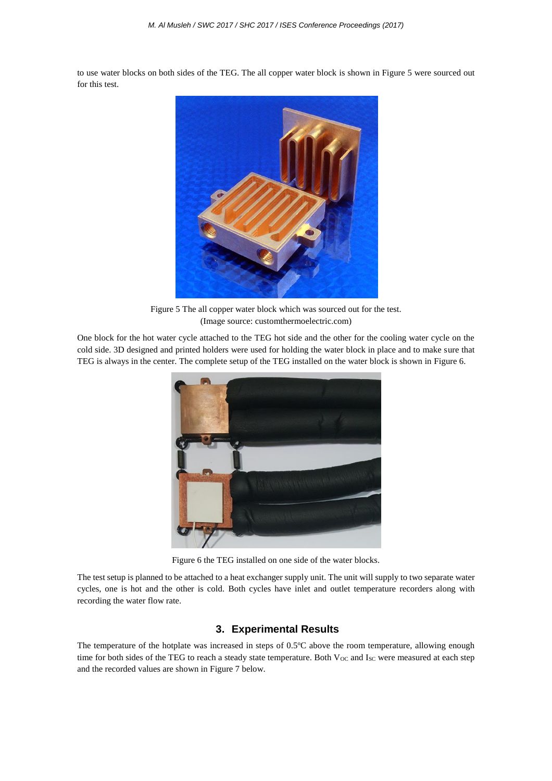to use water blocks on both sides of the TEG. The all copper water block is shown in Figure 5 were sourced out for this test.



Figure 5 The all copper water block which was sourced out for the test. (Image source: customthermoelectric.com)

One block for the hot water cycle attached to the TEG hot side and the other for the cooling water cycle on the cold side. 3D designed and printed holders were used for holding the water block in place and to make sure that TEG is always in the center. The complete setup of the TEG installed on the water block is shown in Figure 6.



Figure 6 the TEG installed on one side of the water blocks.

The test setup is planned to be attached to a heat exchanger supply unit. The unit will supply to two separate water cycles, one is hot and the other is cold. Both cycles have inlet and outlet temperature recorders along with recording the water flow rate.

## **3. Experimental Results**

The temperature of the hotplate was increased in steps of  $0.5^{\circ}$ C above the room temperature, allowing enough time for both sides of the TEG to reach a steady state temperature. Both  $V_{OC}$  and  $I_{SC}$  were measured at each step and the recorded values are shown in Figure 7 below.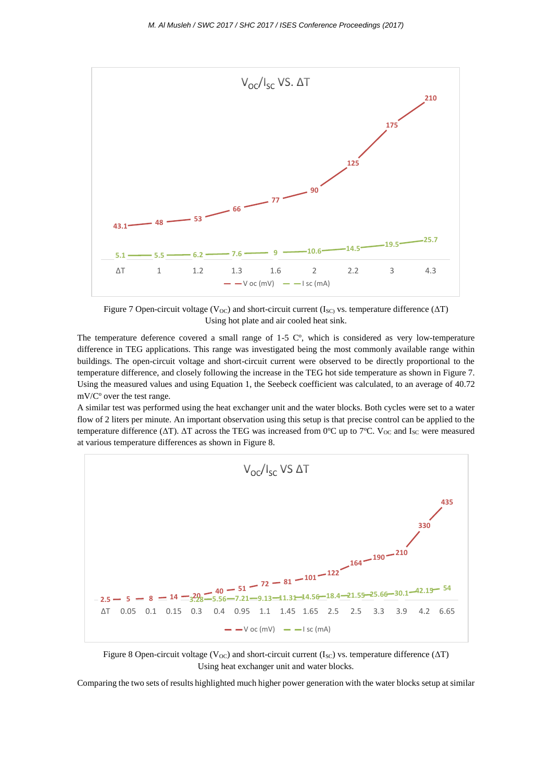

Figure 7 Open-circuit voltage (V<sub>OC</sub>) and short-circuit current (I<sub>SC)</sub> vs. temperature difference ( $\Delta T$ ) Using hot plate and air cooled heat sink.

The temperature deference covered a small range of  $1-5$  C°, which is considered as very low-temperature difference in TEG applications. This range was investigated being the most commonly available range within buildings. The open-circuit voltage and short-circuit current were observed to be directly proportional to the temperature difference, and closely following the increase in the TEG hot side temperature as shown in Figure 7. Using the measured values and using Equation 1, the Seebeck coefficient was calculated, to an average of 40.72  $mV/C<sup>o</sup>$  over the test range.

A similar test was performed using the heat exchanger unit and the water blocks. Both cycles were set to a water flow of 2 liters per minute. An important observation using this setup is that precise control can be applied to the temperature difference ( $ΔT$ ).  $ΔT$  across the TEG was increased from 0°C up to 7°C. V<sub>OC</sub> and I<sub>SC</sub> were measured at various temperature differences as shown in Figure 8.



Figure 8 Open-circuit voltage (V<sub>OC</sub>) and short-circuit current (I<sub>SC</sub>) vs. temperature difference ( $\Delta T$ ) Using heat exchanger unit and water blocks.

Comparing the two sets of results highlighted much higher power generation with the water blocks setup at similar